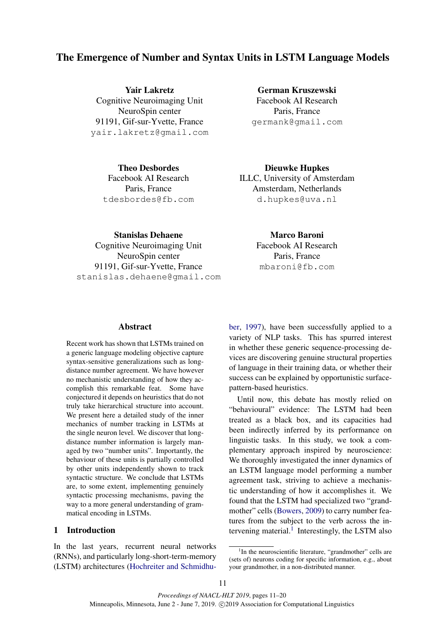# The Emergence of Number and Syntax Units in LSTM Language Models

Yair Lakretz Cognitive Neuroimaging Unit NeuroSpin center 91191, Gif-sur-Yvette, France yair.lakretz@gmail.com

> Theo Desbordes Facebook AI Research Paris, France tdesbordes@fb.com

German Kruszewski Facebook AI Research Paris, France germank@gmail.com

Dieuwke Hupkes ILLC, University of Amsterdam Amsterdam, Netherlands d.hupkes@uva.nl

Stanislas Dehaene Cognitive Neuroimaging Unit NeuroSpin center 91191, Gif-sur-Yvette, France stanislas.dehaene@gmail.com

Marco Baroni Facebook AI Research Paris, France mbaroni@fb.com

# **Abstract**

Recent work has shown that LSTMs trained on a generic language modeling objective capture syntax-sensitive generalizations such as longdistance number agreement. We have however no mechanistic understanding of how they accomplish this remarkable feat. Some have conjectured it depends on heuristics that do not truly take hierarchical structure into account. We present here a detailed study of the inner mechanics of number tracking in LSTMs at the single neuron level. We discover that longdistance number information is largely managed by two "number units". Importantly, the behaviour of these units is partially controlled by other units independently shown to track syntactic structure. We conclude that LSTMs are, to some extent, implementing genuinely syntactic processing mechanisms, paving the way to a more general understanding of grammatical encoding in LSTMs.

#### 1 Introduction

In the last years, recurrent neural networks (RNNs), and particularly long-short-term-memory (LSTM) architectures [\(Hochreiter and Schmidhu-](#page-9-0) [ber,](#page-9-0) [1997\)](#page-9-0), have been successfully applied to a variety of NLP tasks. This has spurred interest in whether these generic sequence-processing devices are discovering genuine structural properties of language in their training data, or whether their success can be explained by opportunistic surfacepattern-based heuristics.

Until now, this debate has mostly relied on "behavioural" evidence: The LSTM had been treated as a black box, and its capacities had been indirectly inferred by its performance on linguistic tasks. In this study, we took a complementary approach inspired by neuroscience: We thoroughly investigated the inner dynamics of an LSTM language model performing a number agreement task, striving to achieve a mechanistic understanding of how it accomplishes it. We found that the LSTM had specialized two "grandmother" cells [\(Bowers,](#page-8-0) [2009\)](#page-8-0) to carry number features from the subject to the verb across the in-tervening material.<sup>[1](#page-0-0)</sup> Interestingly, the LSTM also

<span id="page-0-0"></span><sup>&</sup>lt;sup>1</sup>In the neuroscientific literature, "grandmother" cells are (sets of) neurons coding for specific information, e.g., about your grandmother, in a non-distributed manner.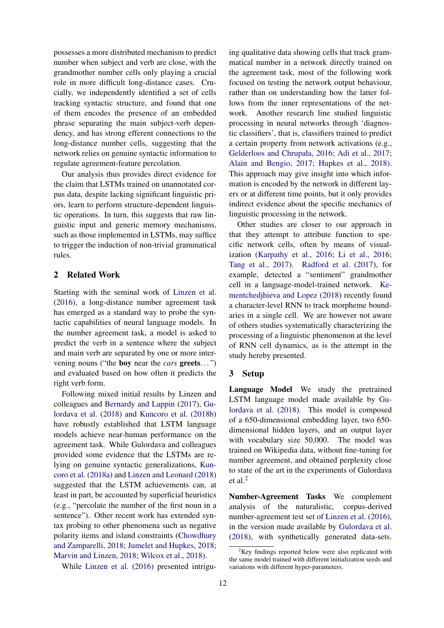possesses a more distributed mechanism to predict number when subject and verb are close, with the grandmother number cells only playing a crucial role in more difficult long-distance cases. Crucially, we independently identified a set of cells tracking syntactic structure, and found that one of them encodes the presence of an embedded phrase separating the main subject-verb dependency, and has strong efferent connections to the long-distance number cells, suggesting that the network relies on genuine syntactic information to regulate agreement-feature percolation.

Our analysis thus provides direct evidence for the claim that LSTMs trained on unannotated corpus data, despite lacking significant linguistic priors, learn to perform structure-dependent linguistic operations. In turn, this suggests that raw linguistic input and generic memory mechanisms, such as those implemented in LSTMs, may suffice to trigger the induction of non-trivial grammatical rules.

# 2 Related Work

Starting with the seminal work of [Linzen et al.](#page-9-1) [\(2016\)](#page-9-1), a long-distance number agreement task has emerged as a standard way to probe the syntactic capabilities of neural language models. In the number agreement task, a model is asked to predict the verb in a sentence where the subject and main verb are separated by one or more intervening nouns ("the boy near the *cars* greets. . . ") and evaluated based on how often it predicts the right verb form.

Following mixed initial results by Linzen and colleagues and [Bernardy and Lappin](#page-8-1) [\(2017\)](#page-8-1), [Gu](#page-9-2)[lordava et al.](#page-9-2) [\(2018\)](#page-9-2) and [Kuncoro et al.](#page-9-3) [\(2018b\)](#page-9-3) have robustly established that LSTM language models achieve near-human performance on the agreement task. While Gulordava and colleagues provided some evidence that the LSTMs are relying on genuine syntactic generalizations, [Kun](#page-9-4)[coro et al.](#page-9-4) [\(2018a\)](#page-9-4) and [Linzen and Leonard](#page-9-5) [\(2018\)](#page-9-5) suggested that the LSTM achievements can, at least in part, be accounted by superficial heuristics (e.g., "percolate the number of the first noun in a sentence"). Other recent work has extended syntax probing to other phenomena such as negative polarity items and island constraints [\(Chowdhury](#page-9-6) [and Zamparelli,](#page-9-6) [2018;](#page-9-6) [Jumelet and Hupkes,](#page-9-7) [2018;](#page-9-7) [Marvin and Linzen,](#page-9-8) [2018;](#page-9-8) [Wilcox et al.,](#page-9-9) [2018\)](#page-9-9).

While [Linzen et al.](#page-9-1) [\(2016\)](#page-9-1) presented intrigu-

ing qualitative data showing cells that track grammatical number in a network directly trained on the agreement task, most of the following work focused on testing the network output behaviour, rather than on understanding how the latter follows from the inner representations of the network. Another research line studied linguistic processing in neural networks through 'diagnostic classifiers', that is, classifiers trained to predict a certain property from network activations (e.g., [Gelderloos and Chrupała,](#page-9-10) [2016;](#page-9-10) [Adi et al.,](#page-8-2) [2017;](#page-8-2) [Alain and Bengio,](#page-8-3) [2017;](#page-8-3) [Hupkes et al.,](#page-9-11) [2018\)](#page-9-11). This approach may give insight into which information is encoded by the network in different layers or at different time points, but it only provides indirect evidence about the specific mechanics of linguistic processing in the network.

Other studies are closer to our approach in that they attempt to attribute function to specific network cells, often by means of visualization [\(Karpathy et al.,](#page-9-12) [2016;](#page-9-12) [Li et al.,](#page-9-13) [2016;](#page-9-13) [Tang et al.,](#page-9-14) [2017\)](#page-9-14). [Radford et al.](#page-9-15) [\(2017\)](#page-9-15), for example, detected a "sentiment" grandmother cell in a language-model-trained network. [Ke](#page-9-16)[mentchedjhieva and Lopez](#page-9-16) [\(2018\)](#page-9-16) recently found a character-level RNN to track morpheme boundaries in a single cell. We are however not aware of others studies systematically characterizing the processing of a linguistic phenomenon at the level of RNN cell dynamics, as is the attempt in the study hereby presented.

### <span id="page-1-1"></span>3 Setup

Language Model We study the pretrained LSTM language model made available by [Gu](#page-9-2)[lordava et al.](#page-9-2) [\(2018\)](#page-9-2). This model is composed of a 650-dimensional embedding layer, two 650 dimensional hidden layers, and an output layer with vocabulary size 50,000. The model was trained on Wikipedia data, without fine-tuning for number agreement, and obtained perplexity close to state of the art in the experiments of Gulordava et al.[2](#page-1-0)

Number-Agreement Tasks We complement analysis of the naturalistic, corpus-derived number-agreement test set of [Linzen et al.](#page-9-1) [\(2016\)](#page-9-1), in the version made available by [Gulordava et al.](#page-9-2) [\(2018\)](#page-9-2), with synthetically generated data-sets.

<span id="page-1-0"></span> $2$ Key findings reported below were also replicated with the same model trained with different initialization seeds and variations with different hyper-parameters.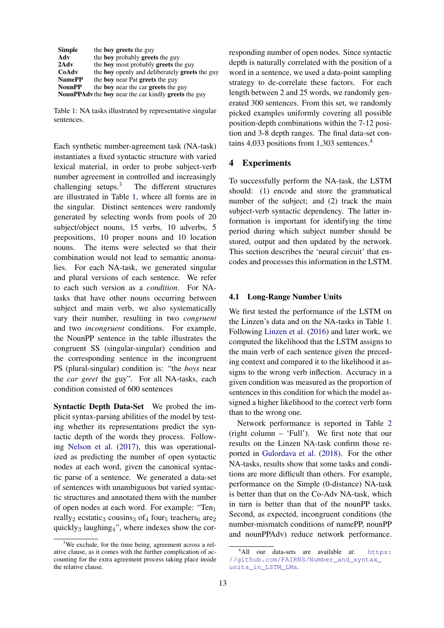<span id="page-2-1"></span>

| <b>Simple</b> | the <b>boy greets</b> the guy                                      |
|---------------|--------------------------------------------------------------------|
| Adv           | the <b>boy</b> probably <b>greets</b> the guy                      |
| 2Adv          | the boy most probably greets the guy                               |
| CoAdv         | the <b>boy</b> openly and deliberately <b>greets</b> the guy       |
| <b>NamePP</b> | the <b>boy</b> near Pat <b>greets</b> the guy                      |
| <b>NounPP</b> | the boy near the car greets the guy                                |
|               | <b>NounPPAdv</b> the boy near the car kindly <b>greets</b> the guy |

Table 1: NA tasks illustrated by representative singular sentences.

Each synthetic number-agreement task (NA-task) instantiates a fixed syntactic structure with varied lexical material, in order to probe subject-verb number agreement in controlled and increasingly challenging setups.[3](#page-2-0) The different structures are illustrated in Table [1,](#page-2-1) where all forms are in the singular. Distinct sentences were randomly generated by selecting words from pools of 20 subject/object nouns, 15 verbs, 10 adverbs, 5 prepositions, 10 proper nouns and 10 location nouns. The items were selected so that their combination would not lead to semantic anomalies. For each NA-task, we generated singular and plural versions of each sentence. We refer to each such version as a *condition*. For NAtasks that have other nouns occurring between subject and main verb, we also systematically vary their number, resulting in two *congruent* and two *incongruent* conditions. For example, the NounPP sentence in the table illustrates the congruent SS (singular-singular) condition and the corresponding sentence in the incongruent PS (plural-singular) condition is: "the *boys* near the *car greet* the guy". For all NA-tasks, each condition consisted of 600 sentences

Syntactic Depth Data-Set We probed the implicit syntax-parsing abilities of the model by testing whether its representations predict the syntactic depth of the words they process. Following [Nelson et al.](#page-9-17) [\(2017\)](#page-9-17), this was operationalized as predicting the number of open syntactic nodes at each word, given the canonical syntactic parse of a sentence. We generated a data-set of sentences with unambiguous but varied syntactic structures and annotated them with the number of open nodes at each word. For example: "Ten<sub>1</sub> really<sub>2</sub> ecstatic<sub>3</sub> cousins<sub>3</sub> of<sub>4</sub> four<sub>5</sub> teachers<sub>6</sub> are<sub>2</sub> quickly<sub>3</sub> laughing<sub>4</sub>", where indexes show the corresponding number of open nodes. Since syntactic depth is naturally correlated with the position of a word in a sentence, we used a data-point sampling strategy to de-correlate these factors. For each length between 2 and 25 words, we randomly generated 300 sentences. From this set, we randomly picked examples uniformly covering all possible position-depth combinations within the 7-12 position and 3-8 depth ranges. The final data-set contains 4,033 positions from 1,303 sentences.[4](#page-2-2)

# 4 Experiments

To successfully perform the NA-task, the LSTM should: (1) encode and store the grammatical number of the subject; and (2) track the main subject-verb syntactic dependency. The latter information is important for identifying the time period during which subject number should be stored, output and then updated by the network. This section describes the 'neural circuit' that encodes and processes this information in the LSTM.

## 4.1 Long-Range Number Units

We first tested the performance of the LSTM on the Linzen's data and on the NA-tasks in Table [1.](#page-2-1) Following [Linzen et al.](#page-9-1) [\(2016\)](#page-9-1) and later work, we computed the likelihood that the LSTM assigns to the main verb of each sentence given the preceding context and compared it to the likelihood it assigns to the wrong verb inflection. Accuracy in a given condition was measured as the proportion of sentences in this condition for which the model assigned a higher likelihood to the correct verb form than to the wrong one.

Network performance is reported in Table [2](#page-3-0) (right column – 'Full'). We first note that our results on the Linzen NA-task confirm those reported in [Gulordava et al.](#page-9-2) [\(2018\)](#page-9-2). For the other NA-tasks, results show that some tasks and conditions are more difficult than others. For example, performance on the Simple (0-distance) NA-task is better than that on the Co-Adv NA-task, which in turn is better than that of the nounPP tasks. Second, as expected, incongruent conditions (the number-mismatch conditions of namePP, nounPP and nounPPAdv) reduce network performance.

<span id="page-2-0"></span> $3$ We exclude, for the time being, agreement across a relative clause, as it comes with the further complication of accounting for the extra agreement process taking place inside the relative clause.

<span id="page-2-2"></span><sup>&</sup>lt;sup>4</sup>All our data-sets are available at: [https:](https://github.com/FAIRNS/Number_and_syntax_units_in_LSTM_LMs) [//github.com/FAIRNS/Number\\_and\\_syntax\\_](https://github.com/FAIRNS/Number_and_syntax_units_in_LSTM_LMs) [units\\_in\\_LSTM\\_LMs](https://github.com/FAIRNS/Number_and_syntax_units_in_LSTM_LMs).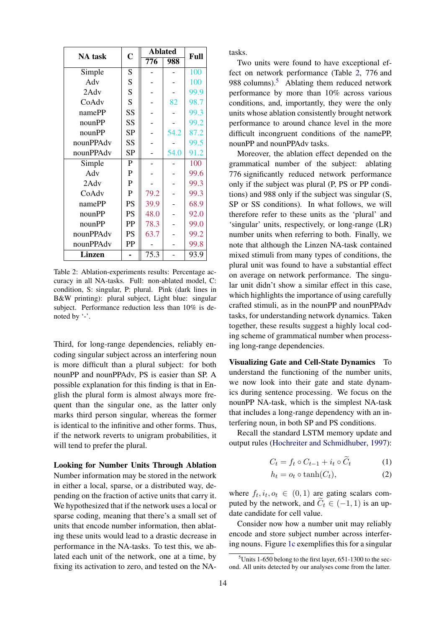<span id="page-3-0"></span>

| <b>NA</b> task | $\mathbf C$ | <b>Ablated</b> |      | Full |
|----------------|-------------|----------------|------|------|
|                |             | 776            | 988  |      |
| Simple         | S           |                |      | 100  |
| Adv            | S           |                |      | 100  |
| 2Adv           | S           |                |      | 99.9 |
| CoAdv          | S           |                | 82   | 98.7 |
| namePP         | SS          |                |      | 99.3 |
| nounPP         | SS          |                |      | 99.2 |
| nounPP         | <b>SP</b>   |                | 54.2 | 87.2 |
| nounPPAdv      | SS          |                |      | 99.5 |
| nounPPAdv      | SP          |                | 54.0 | 91.2 |
| Simple         | ${\bf P}$   |                |      | 100  |
| Adv            | ${\bf P}$   |                |      | 99.6 |
| 2Adv           | $\mathbf P$ |                |      | 99.3 |
| CoAdv          | $\mathbf P$ | 79.2           |      | 99.3 |
| namePP         | PS          | 39.9           |      | 68.9 |
| nounPP         | PS          | 48.0           |      | 92.0 |
| nounPP         | PP          | 78.3           |      | 99.0 |
| nounPPAdv      | <b>PS</b>   | 63.7           |      | 99.2 |
| nounPPAdv      | PP          |                |      | 99.8 |
| <b>Linzen</b>  |             | 75.3           |      | 93.9 |

Table 2: Ablation-experiments results: Percentage accuracy in all NA-tasks. Full: non-ablated model, C: condition, S: singular, P: plural. Pink (dark lines in B&W printing): plural subject, Light blue: singular subject. Performance reduction less than 10% is denoted by '-'.

Third, for long-range dependencies, reliably encoding singular subject across an interfering noun is more difficult than a plural subject: for both nounPP and nounPPAdv, PS is easier than SP. A possible explanation for this finding is that in English the plural form is almost always more frequent than the singular one, as the latter only marks third person singular, whereas the former is identical to the infinitive and other forms. Thus, if the network reverts to unigram probabilities, it will tend to prefer the plural.

Looking for Number Units Through Ablation Number information may be stored in the network in either a local, sparse, or a distributed way, depending on the fraction of active units that carry it. We hypothesized that if the network uses a local or sparse coding, meaning that there's a small set of units that encode number information, then ablating these units would lead to a drastic decrease in performance in the NA-tasks. To test this, we ablated each unit of the network, one at a time, by fixing its activation to zero, and tested on the NA-

tasks.

Two units were found to have exceptional effect on network performance (Table [2,](#page-3-0) 776 and 988 columns). $5$  Ablating them reduced network performance by more than 10% across various conditions, and, importantly, they were the only units whose ablation consistently brought network performance to around chance level in the more difficult incongruent conditions of the namePP, nounPP and nounPPAdv tasks.

Moreover, the ablation effect depended on the grammatical number of the subject: ablating 776 significantly reduced network performance only if the subject was plural (P, PS or PP conditions) and 988 only if the subject was singular (S, SP or SS conditions). In what follows, we will therefore refer to these units as the 'plural' and 'singular' units, respectively, or long-range (LR) number units when referring to both. Finally, we note that although the Linzen NA-task contained mixed stimuli from many types of conditions, the plural unit was found to have a substantial effect on average on network performance. The singular unit didn't show a similar effect in this case, which highlights the importance of using carefully crafted stimuli, as in the nounPP and nounPPAdv tasks, for understanding network dynamics. Taken together, these results suggest a highly local coding scheme of grammatical number when processing long-range dependencies.

Visualizing Gate and Cell-State Dynamics To understand the functioning of the number units, we now look into their gate and state dynamics during sentence processing. We focus on the nounPP NA-task, which is the simplest NA-task that includes a long-range dependency with an interfering noun, in both SP and PS conditions.

Recall the standard LSTM memory update and output rules [\(Hochreiter and Schmidhuber,](#page-9-0) [1997\)](#page-9-0):

$$
C_t = f_t \circ C_{t-1} + i_t \circ \widetilde{C}_t \tag{1}
$$

<span id="page-3-3"></span><span id="page-3-2"></span>
$$
h_t = o_t \circ \tanh(C_t), \tag{2}
$$

where  $f_t, i_t, o_t \in (0, 1)$  are gating scalars computed by the network, and  $C_t \in (-1, 1)$  is an update candidate for cell value.

Consider now how a number unit may reliably encode and store subject number across interfering nouns. Figure [1c](#page-4-0) exemplifies this for a singular

<span id="page-3-1"></span> $5$ Units 1-650 belong to the first layer, 651-1300 to the second. All units detected by our analyses come from the latter.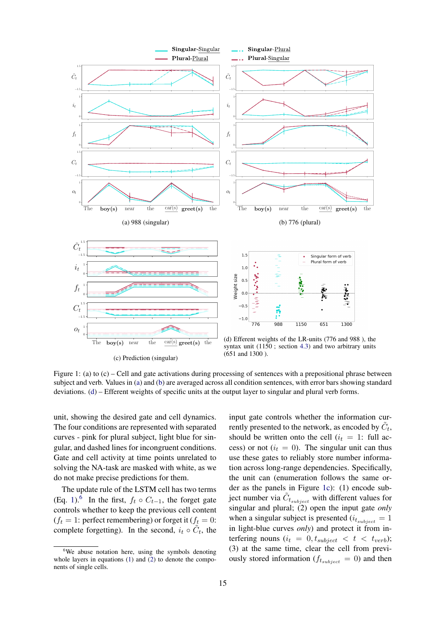<span id="page-4-0"></span>

(c) Prediction (singular)

(651 and 1300 ).

Figure 1: (a) to (c) – Cell and gate activations during processing of sentences with a prepositional phrase between subject and verb. Values in [\(a\)](#page-4-0) and [\(b\)](#page-4-0) are averaged across all condition sentences, with error bars showing standard deviations. [\(d\)](#page-4-0) – Efferent weights of specific units at the output layer to singular and plural verb forms.

unit, showing the desired gate and cell dynamics. The four conditions are represented with separated curves - pink for plural subject, light blue for singular, and dashed lines for incongruent conditions. Gate and cell activity at time points unrelated to solving the NA-task are masked with white, as we do not make precise predictions for them.

The update rule of the LSTM cell has two terms (Eq. [1\)](#page-3-2).<sup>[6](#page-4-1)</sup> In the first,  $f_t \circ C_{t-1}$ , the forget gate controls whether to keep the previous cell content  $(f_t = 1$ : perfect remembering) or forget it  $(f_t = 0)$ : complete forgetting). In the second,  $i_t \circ \tilde{C}_t$ , the

input gate controls whether the information currently presented to the network, as encoded by  $\tilde{C}_t$ , should be written onto the cell  $(i_t = 1$ : full access) or not  $(i<sub>t</sub> = 0)$ . The singular unit can thus use these gates to reliably store number information across long-range dependencies. Specifically, the unit can (enumeration follows the same order as the panels in Figure [1c\)](#page-4-0): (1) encode subject number via  $\tilde{C}_{t_{subject}}$  with different values for singular and plural; (2) open the input gate *only* when a singular subject is presented  $(i<sub>t</sub>_{subject} = 1$ in light-blue curves *only*) and protect it from interfering nouns  $(i_t = 0, t_{subject} < t < t_{verb})$ ; (3) at the same time, clear the cell from previously stored information ( $f_{t_{subject}} = 0$ ) and then

<span id="page-4-1"></span><sup>&</sup>lt;sup>6</sup>We abuse notation here, using the symbols denoting whole layers in equations  $(1)$  and  $(2)$  to denote the components of single cells.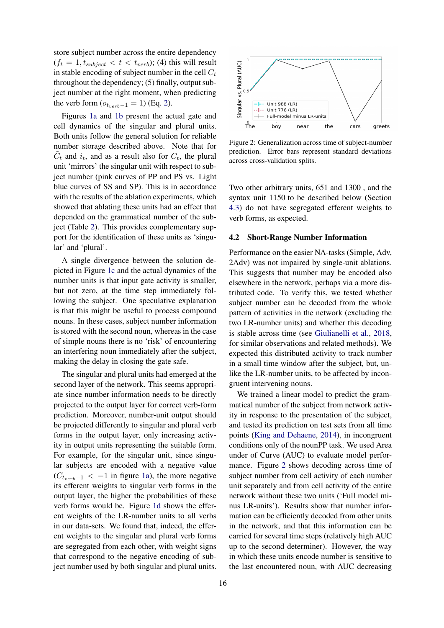store subject number across the entire dependency  $(f_t = 1, t_{subject} < t < t_{verb})$ ; (4) this will result in stable encoding of subject number in the cell  $C_t$ throughout the dependency; (5) finally, output subject number at the right moment, when predicting the verb form  $(o_{t_{verb}-1} = 1)$  (Eq. [2\)](#page-3-3).

Figures [1a](#page-4-0) and [1b](#page-4-0) present the actual gate and cell dynamics of the singular and plural units. Both units follow the general solution for reliable number storage described above. Note that for  $\tilde{C}_t$  and  $i_t$ , and as a result also for  $C_t$ , the plural unit 'mirrors' the singular unit with respect to subject number (pink curves of PP and PS vs. Light blue curves of SS and SP). This is in accordance with the results of the ablation experiments, which showed that ablating these units had an effect that depended on the grammatical number of the subject (Table [2\)](#page-3-0). This provides complementary support for the identification of these units as 'singular' and 'plural'.

A single divergence between the solution depicted in Figure [1c](#page-4-0) and the actual dynamics of the number units is that input gate activity is smaller, but not zero, at the time step immediately following the subject. One speculative explanation is that this might be useful to process compound nouns. In these cases, subject number information is stored with the second noun, whereas in the case of simple nouns there is no 'risk' of encountering an interfering noun immediately after the subject, making the delay in closing the gate safe.

The singular and plural units had emerged at the second layer of the network. This seems appropriate since number information needs to be directly projected to the output layer for correct verb-form prediction. Moreover, number-unit output should be projected differently to singular and plural verb forms in the output layer, only increasing activity in output units representing the suitable form. For example, for the singular unit, since singular subjects are encoded with a negative value  $(C_{t_{verb}-1} < -1$  in figure [1a\)](#page-4-0), the more negative its efferent weights to singular verb forms in the output layer, the higher the probabilities of these verb forms would be. Figure [1d](#page-4-0) shows the efferent weights of the LR-number units to all verbs in our data-sets. We found that, indeed, the efferent weights to the singular and plural verb forms are segregated from each other, with weight signs that correspond to the negative encoding of subject number used by both singular and plural units.

<span id="page-5-0"></span>

Figure 2: Generalization across time of subject-number prediction. Error bars represent standard deviations across cross-validation splits.

Two other arbitrary units, 651 and 1300 , and the syntax unit 1150 to be described below (Section [4.3\)](#page-6-0) do not have segregated efferent weights to verb forms, as expected.

#### 4.2 Short-Range Number Information

Performance on the easier NA-tasks (Simple, Adv, 2Adv) was not impaired by single-unit ablations. This suggests that number may be encoded also elsewhere in the network, perhaps via a more distributed code. To verify this, we tested whether subject number can be decoded from the whole pattern of activities in the network (excluding the two LR-number units) and whether this decoding is stable across time (see [Giulianelli et al.,](#page-9-18) [2018,](#page-9-18) for similar observations and related methods). We expected this distributed activity to track number in a small time window after the subject, but, unlike the LR-number units, to be affected by incongruent intervening nouns.

We trained a linear model to predict the grammatical number of the subject from network activity in response to the presentation of the subject, and tested its prediction on test sets from all time points [\(King and Dehaene,](#page-9-19) [2014\)](#page-9-19), in incongruent conditions only of the nounPP task. We used Area under of Curve (AUC) to evaluate model performance. Figure [2](#page-5-0) shows decoding across time of subject number from cell activity of each number unit separately and from cell activity of the entire network without these two units ('Full model minus LR-units'). Results show that number information can be efficiently decoded from other units in the network, and that this information can be carried for several time steps (relatively high AUC up to the second determiner). However, the way in which these units encode number is sensitive to the last encountered noun, with AUC decreasing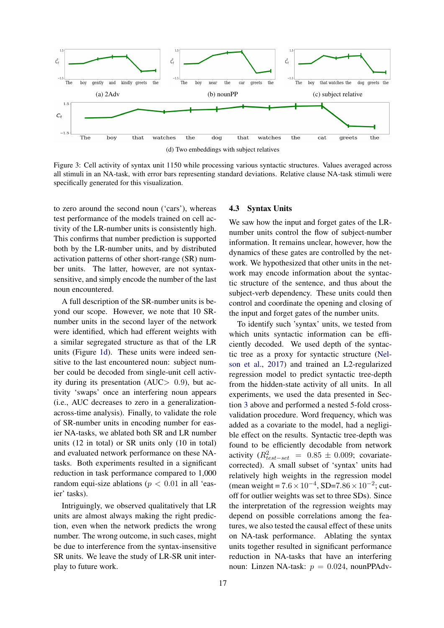<span id="page-6-1"></span>

Figure 3: Cell activity of syntax unit 1150 while processing various syntactic structures. Values averaged across all stimuli in an NA-task, with error bars representing standard deviations. Relative clause NA-task stimuli were specifically generated for this visualization.

to zero around the second noun ('cars'), whereas test performance of the models trained on cell activity of the LR-number units is consistently high. This confirms that number prediction is supported both by the LR-number units, and by distributed activation patterns of other short-range (SR) number units. The latter, however, are not syntaxsensitive, and simply encode the number of the last noun encountered.

A full description of the SR-number units is beyond our scope. However, we note that 10 SRnumber units in the second layer of the network were identified, which had efferent weights with a similar segregated structure as that of the LR units (Figure [1d\)](#page-4-0). These units were indeed sensitive to the last encountered noun: subject number could be decoded from single-unit cell activity during its presentation (AUC $> 0.9$ ), but activity 'swaps' once an interfering noun appears (i.e., AUC decreases to zero in a generalizationacross-time analysis). Finally, to validate the role of SR-number units in encoding number for easier NA-tasks, we ablated both SR and LR number units (12 in total) or SR units only (10 in total) and evaluated network performance on these NAtasks. Both experiments resulted in a significant reduction in task performance compared to 1,000 random equi-size ablations ( $p < 0.01$  in all 'easier' tasks).

Intriguingly, we observed qualitatively that LR units are almost always making the right prediction, even when the network predicts the wrong number. The wrong outcome, in such cases, might be due to interference from the syntax-insensitive SR units. We leave the study of LR-SR unit interplay to future work.

### <span id="page-6-0"></span>4.3 Syntax Units

We saw how the input and forget gates of the LRnumber units control the flow of subject-number information. It remains unclear, however, how the dynamics of these gates are controlled by the network. We hypothesized that other units in the network may encode information about the syntactic structure of the sentence, and thus about the subject-verb dependency. These units could then control and coordinate the opening and closing of the input and forget gates of the number units.

To identify such 'syntax' units, we tested from which units syntactic information can be efficiently decoded. We used depth of the syntactic tree as a proxy for syntactic structure [\(Nel](#page-9-17)[son et al.,](#page-9-17) [2017\)](#page-9-17) and trained an L2-regularized regression model to predict syntactic tree-depth from the hidden-state activity of all units. In all experiments, we used the data presented in Section [3](#page-1-1) above and performed a nested 5-fold crossvalidation procedure. Word frequency, which was added as a covariate to the model, had a negligible effect on the results. Syntactic tree-depth was found to be efficiently decodable from network activity  $(R_{test-set}^2 = 0.85 \pm 0.009;$  covariatecorrected). A small subset of 'syntax' units had relatively high weights in the regression model (mean weight =  $7.6 \times 10^{-4}$ , SD= $7.86 \times 10^{-2}$ ; cutoff for outlier weights was set to three SDs). Since the interpretation of the regression weights may depend on possible correlations among the features, we also tested the causal effect of these units on NA-task performance. Ablating the syntax units together resulted in significant performance reduction in NA-tasks that have an interfering noun: Linzen NA-task:  $p = 0.024$ , nounPPAdv-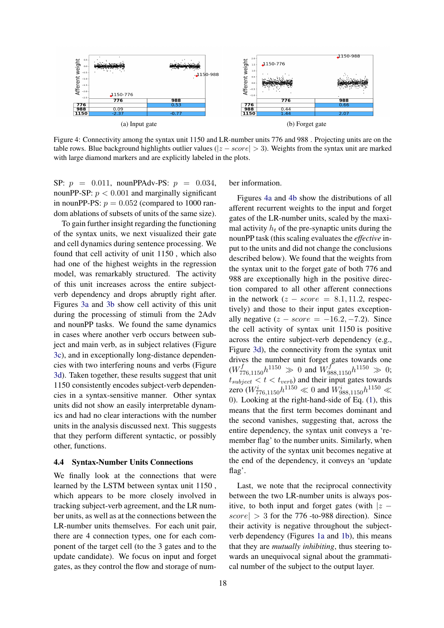<span id="page-7-0"></span>

Figure 4: Connectivity among the syntax unit 1150 and LR-number units 776 and 988 . Projecting units are on the table rows. Blue background highlights outlier values ( $|z - score| > 3$ ). Weights from the syntax unit are marked with large diamond markers and are explicitly labeled in the plots.

SP:  $p = 0.011$ , nounPPAdv-PS:  $p = 0.034$ , nounPP-SP:  $p < 0.001$  and marginally significant in nounPP-PS:  $p = 0.052$  (compared to 1000 random ablations of subsets of units of the same size).

To gain further insight regarding the functioning of the syntax units, we next visualized their gate and cell dynamics during sentence processing. We found that cell activity of unit 1150 , which also had one of the highest weights in the regression model, was remarkably structured. The activity of this unit increases across the entire subjectverb dependency and drops abruptly right after. Figures [3a](#page-6-1) and [3b](#page-6-1) show cell activity of this unit during the processing of stimuli from the 2Adv and nounPP tasks. We found the same dynamics in cases where another verb occurs between subject and main verb, as in subject relatives (Figure [3c\)](#page-6-1), and in exceptionally long-distance dependencies with two interfering nouns and verbs (Figure [3d\)](#page-6-1). Taken together, these results suggest that unit 1150 consistently encodes subject-verb dependencies in a syntax-sensitive manner. Other syntax units did not show an easily interpretable dynamics and had no clear interactions with the number units in the analysis discussed next. This suggests that they perform different syntactic, or possibly other, functions.

### 4.4 Syntax-Number Units Connections

We finally look at the connections that were learned by the LSTM between syntax unit 1150 , which appears to be more closely involved in tracking subject-verb agreement, and the LR number units, as well as at the connections between the LR-number units themselves. For each unit pair, there are 4 connection types, one for each component of the target cell (to the 3 gates and to the update candidate). We focus on input and forget gates, as they control the flow and storage of number information.

Figures [4a](#page-7-0) and [4b](#page-7-0) show the distributions of all afferent recurrent weights to the input and forget gates of the LR-number units, scaled by the maximal activity  $h_t$  of the pre-synaptic units during the nounPP task (this scaling evaluates the *effective* input to the units and did not change the conclusions described below). We found that the weights from the syntax unit to the forget gate of both 776 and 988 are exceptionally high in the positive direction compared to all other afferent connections in the network  $(z - score = 8.1, 11.2,$  respectively) and those to their input gates exceptionally negative  $(z - score = -16.2, -7.2)$ . Since the cell activity of syntax unit 1150 is positive across the entire subject-verb dependency (e.g., Figure [3d\)](#page-6-1), the connectivity from the syntax unit drives the number unit forget gates towards one  $(W^{f}_{776,1150}h^{1150} \gg 0$  and  $W^{f}_{988,1150}h^{1150} \gg 0;$  $t_{subject} < t < t_{verb}$ ) and their input gates towards zero ( $W^i_{776,1150}h^{1150} \ll 0$  and  $W^i_{988,1150}h^{1150} \ll$ 0). Looking at the right-hand-side of Eq. [\(1\)](#page-3-2), this means that the first term becomes dominant and the second vanishes, suggesting that, across the entire dependency, the syntax unit conveys a 'remember flag' to the number units. Similarly, when the activity of the syntax unit becomes negative at the end of the dependency, it conveys an 'update flag'.

Last, we note that the reciprocal connectivity between the two LR-number units is always positive, to both input and forget gates (with  $|z - z|$  $\vert score \vert > 3$  for the 776 -to-988 direction). Since their activity is negative throughout the subjectverb dependency (Figures [1a](#page-4-0) and [1b\)](#page-4-0), this means that they are *mutually inhibiting*, thus steering towards an unequivocal signal about the grammatical number of the subject to the output layer.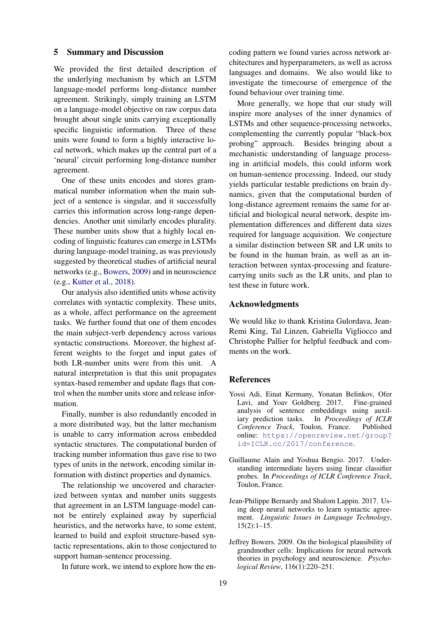#### 5 Summary and Discussion

We provided the first detailed description of the underlying mechanism by which an LSTM language-model performs long-distance number agreement. Strikingly, simply training an LSTM on a language-model objective on raw corpus data brought about single units carrying exceptionally specific linguistic information. Three of these units were found to form a highly interactive local network, which makes up the central part of a 'neural' circuit performing long-distance number agreement.

One of these units encodes and stores grammatical number information when the main subject of a sentence is singular, and it successfully carries this information across long-range dependencies. Another unit similarly encodes plurality. These number units show that a highly local encoding of linguistic features can emerge in LSTMs during language-model training, as was previously suggested by theoretical studies of artificial neural networks (e.g., [Bowers,](#page-8-0) [2009\)](#page-8-0) and in neuroscience (e.g., [Kutter et al.,](#page-9-20) [2018\)](#page-9-20).

Our analysis also identified units whose activity correlates with syntactic complexity. These units, as a whole, affect performance on the agreement tasks. We further found that one of them encodes the main subject-verb dependency across various syntactic constructions. Moreover, the highest afferent weights to the forget and input gates of both LR-number units were from this unit. A natural interpretation is that this unit propagates syntax-based remember and update flags that control when the number units store and release information.

Finally, number is also redundantly encoded in a more distributed way, but the latter mechanism is unable to carry information across embedded syntactic structures. The computational burden of tracking number information thus gave rise to two types of units in the network, encoding similar information with distinct properties and dynamics.

The relationship we uncovered and characterized between syntax and number units suggests that agreement in an LSTM language-model cannot be entirely explained away by superficial heuristics, and the networks have, to some extent, learned to build and exploit structure-based syntactic representations, akin to those conjectured to support human-sentence processing.

In future work, we intend to explore how the en-

coding pattern we found varies across network architectures and hyperparameters, as well as across languages and domains. We also would like to investigate the timecourse of emergence of the found behaviour over training time.

More generally, we hope that our study will inspire more analyses of the inner dynamics of LSTMs and other sequence-processing networks, complementing the currently popular "black-box probing" approach. Besides bringing about a mechanistic understanding of language processing in artificial models, this could inform work on human-sentence processing. Indeed, our study yields particular testable predictions on brain dynamics, given that the computational burden of long-distance agreement remains the same for artificial and biological neural network, despite implementation differences and different data sizes required for language acquisition. We conjecture a similar distinction between SR and LR units to be found in the human brain, as well as an interaction between syntax-processing and featurecarrying units such as the LR units, and plan to test these in future work.

### Acknowledgments

We would like to thank Kristina Gulordava, Jean-Remi King, Tal Linzen, Gabriella Vigliocco and Christophe Pallier for helpful feedback and comments on the work.

# **References**

- <span id="page-8-2"></span>Yossi Adi, Einat Kermany, Yonatan Belinkov, Ofer Lavi, and Yoav Goldberg. 2017. Fine-grained analysis of sentence embeddings using auxiliary prediction tasks. In *Proceedings of ICLR* In *Proceedings of ICLR Conference Track*, Toulon, France. Published online: [https://openreview.net/group?](https://openreview.net/group?id=ICLR.cc/2017/conference) [id=ICLR.cc/2017/conference](https://openreview.net/group?id=ICLR.cc/2017/conference).
- <span id="page-8-3"></span>Guillaume Alain and Yoshua Bengio. 2017. Understanding intermediate layers using linear classifier probes. In *Proceedings of ICLR Conference Track*, Toulon, France.
- <span id="page-8-1"></span>Jean-Philippe Bernardy and Shalom Lappin. 2017. Using deep neural networks to learn syntactic agreement. *Linguistic Issues in Language Technology*, 15(2):1–15.
- <span id="page-8-0"></span>Jeffrey Bowers. 2009. On the biological plausibility of grandmother cells: Implications for neural network theories in psychology and neuroscience. *Psychological Review*, 116(1):220–251.